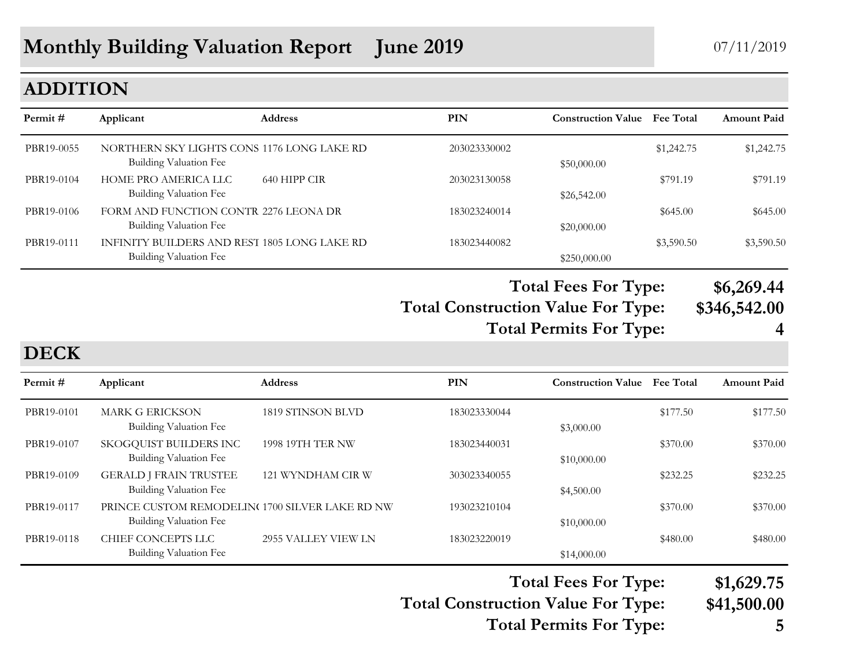#### **ADDITION**

| Permit#    | Applicant                                                              | <b>Address</b> | <b>PIN</b>   | <b>Construction Value</b> Fee Total |            | <b>Amount Paid</b> |
|------------|------------------------------------------------------------------------|----------------|--------------|-------------------------------------|------------|--------------------|
| PBR19-0055 | NORTHERN SKY LIGHTS CONS 1176 LONG LAKE RD<br>Building Valuation Fee   |                | 203023330002 | \$50,000.00                         | \$1,242.75 | \$1,242.75         |
| PBR19-0104 | HOME PRO AMERICA LLC<br>Building Valuation Fee                         | 640 HIPP CIR   | 203023130058 | \$26,542.00                         | \$791.19   | \$791.19           |
| PBR19-0106 | FORM AND FUNCTION CONTR 2276 LEONA DR<br>Building Valuation Fee        |                | 183023240014 | \$20,000.00                         | \$645.00   | \$645.00           |
| PBR19-0111 | INFINITY BUILDERS AND REST 1805 LONG LAKE RD<br>Building Valuation Fee |                | 183023440082 | \$250,000.00                        | \$3,590.50 | \$3,590.50         |
|            |                                                                        |                |              |                                     |            |                    |

**Total Fees For Type: \$6,269.44**

**Total Construction Value For Type: \$346,542.00 Total Permits For Type: 4**

**DECK**

| Permit#    | Applicant                                                                 | <b>Address</b>          | PIN          | <b>Construction Value</b> | <b>Fee Total</b> | <b>Amount Paid</b> |
|------------|---------------------------------------------------------------------------|-------------------------|--------------|---------------------------|------------------|--------------------|
| PBR19-0101 | <b>MARK G ERICKSON</b><br>Building Valuation Fee                          | 1819 STINSON BLVD       | 183023330044 | \$3,000.00                | \$177.50         | \$177.50           |
| PBR19-0107 | SKOGQUIST BUILDERS INC<br><b>Building Valuation Fee</b>                   | <b>1998 19TH TER NW</b> | 183023440031 | \$10,000.00               | \$370.00         | \$370.00           |
| PBR19-0109 | <b>GERALD J FRAIN TRUSTEE</b><br>Building Valuation Fee                   | 121 WYNDHAM CIR W       | 303023340055 | \$4,500.00                | \$232.25         | \$232.25           |
| PBR19-0117 | PRINCE CUSTOM REMODELING 1700 SILVER LAKE RD NW<br>Building Valuation Fee |                         | 193023210104 | \$10,000.00               | \$370.00         | \$370.00           |
| PBR19-0118 | CHIEF CONCEPTS LLC<br>Building Valuation Fee                              | 2955 VALLEY VIEW LN     | 183023220019 | \$14,000.00               | \$480.00         | \$480.00           |

## **Total Fees For Type: \$1,629.75**

**Total Construction Value For Type: \$41,500.00**

**Total Permits For Type: 5**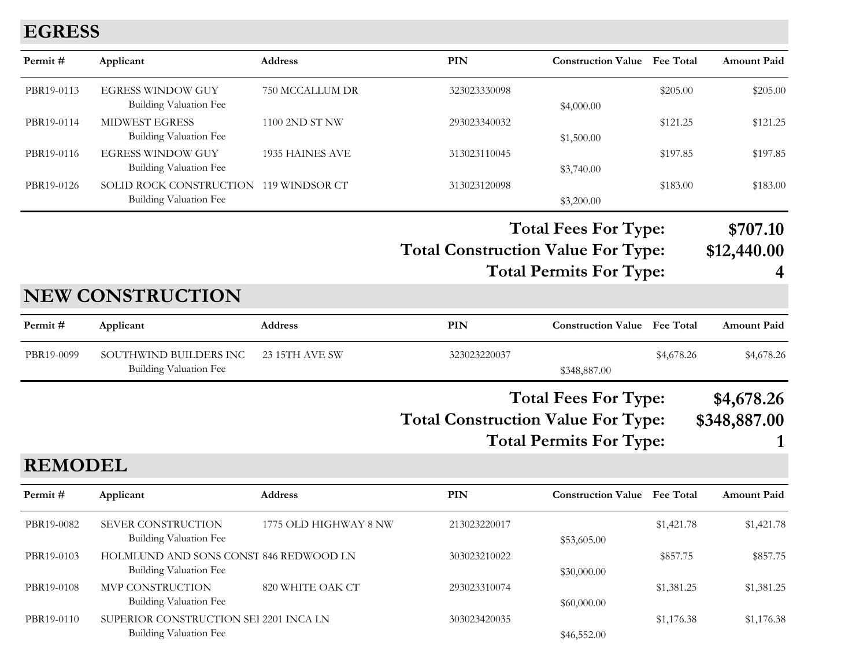#### **EGRESS**

| Permit#        | Applicant                                                               | <b>Address</b>        | <b>PIN</b>                                | <b>Construction Value</b> Fee Total                           |            | <b>Amount Paid</b>           |
|----------------|-------------------------------------------------------------------------|-----------------------|-------------------------------------------|---------------------------------------------------------------|------------|------------------------------|
| PBR19-0113     | <b>EGRESS WINDOW GUY</b><br><b>Building Valuation Fee</b>               | 750 MCCALLUM DR       | 323023330098                              | \$4,000.00                                                    | \$205.00   | \$205.00                     |
| PBR19-0114     | <b>MIDWEST EGRESS</b><br><b>Building Valuation Fee</b>                  | 1100 2ND ST NW        | 293023340032                              | \$1,500.00                                                    | \$121.25   | \$121.25                     |
| PBR19-0116     | <b>EGRESS WINDOW GUY</b><br><b>Building Valuation Fee</b>               | 1935 HAINES AVE       | 313023110045                              | \$3,740.00                                                    | \$197.85   | \$197.85                     |
| PBR19-0126     | SOLID ROCK CONSTRUCTION 119 WINDSOR CT<br><b>Building Valuation Fee</b> |                       | 313023120098                              | \$3,200.00                                                    | \$183.00   | \$183.00                     |
|                |                                                                         |                       | <b>Total Construction Value For Type:</b> | <b>Total Fees For Type:</b><br><b>Total Permits For Type:</b> |            | \$707.10<br>\$12,440.00<br>4 |
|                | <b>NEW CONSTRUCTION</b>                                                 |                       |                                           |                                                               |            |                              |
| Permit#        | Applicant                                                               | Address               | PIN                                       | <b>Construction Value</b> Fee Total                           |            | <b>Amount Paid</b>           |
| PBR19-0099     | SOUTHWIND BUILDERS INC<br><b>Building Valuation Fee</b>                 | 23 15TH AVE SW        | 323023220037                              | \$348,887.00                                                  | \$4,678.26 | \$4,678.26                   |
| <b>REMODEL</b> |                                                                         |                       | <b>Total Construction Value For Type:</b> | <b>Total Fees For Type:</b><br><b>Total Permits For Type:</b> |            | \$4,678.26<br>\$348,887.00   |
| Permit#        | Applicant                                                               | <b>Address</b>        | PIN                                       | <b>Construction Value</b> Fee Total                           |            | <b>Amount Paid</b>           |
| PBR19-0082     | SEVER CONSTRUCTION<br>Building Valuation Fee                            | 1775 OLD HIGHWAY 8 NW | 213023220017                              | \$53,605.00                                                   | \$1,421.78 | \$1,421.78                   |
| PBR19-0103     | HOLMLUND AND SONS CONST 846 REDWOOD LN<br>Building Valuation Fee        |                       | 303023210022                              | \$30,000.00                                                   | \$857.75   | \$857.75                     |
| PBR19-0108     | MVP CONSTRUCTION<br><b>Building Valuation Fee</b>                       | 820 WHITE OAK CT      | 293023310074                              | \$60,000.00                                                   | \$1,381.25 | \$1,381.25                   |
| PBR19-0110     | SUPERIOR CONSTRUCTION SEI 2201 INCA LN                                  |                       | 303023420035                              |                                                               | \$1,176.38 | \$1,176.38                   |

Building Valuation Fee  $$46,552.00$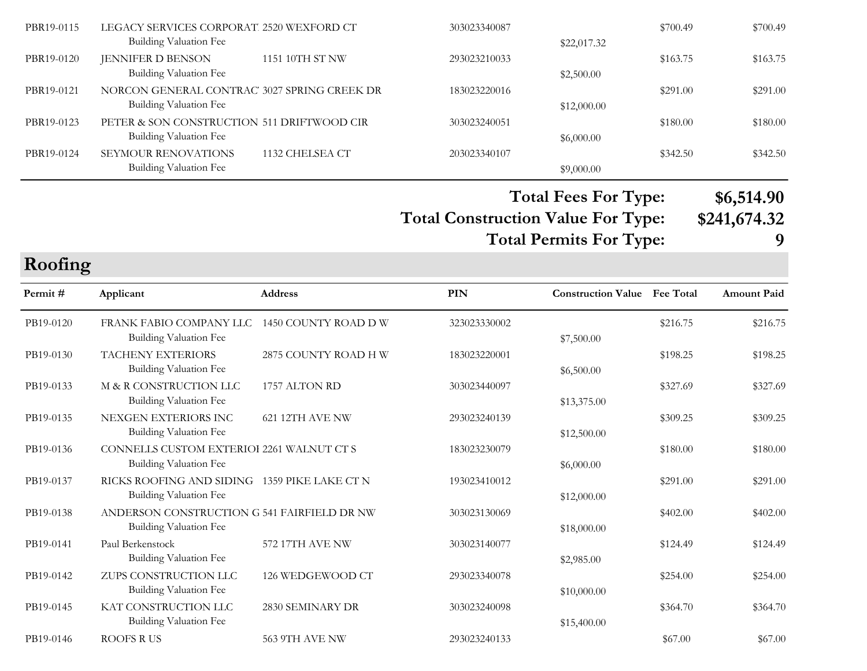| PBR19-0115 | LEGACY SERVICES CORPORAT. 2520 WEXFORD CT    |                 | 303023340087 |             | \$700.49 | \$700.49 |
|------------|----------------------------------------------|-----------------|--------------|-------------|----------|----------|
|            | Building Valuation Fee                       |                 |              | \$22,017.32 |          |          |
| PBR19-0120 | <b>JENNIFER D BENSON</b>                     | 1151 10TH ST NW | 293023210033 |             | \$163.75 | \$163.75 |
|            | <b>Building Valuation Fee</b>                |                 |              | \$2,500.00  |          |          |
| PBR19-0121 | NORCON GENERAL CONTRAC' 3027 SPRING CREEK DR |                 | 183023220016 |             | \$291.00 | \$291.00 |
|            | Building Valuation Fee                       |                 |              | \$12,000.00 |          |          |
| PBR19-0123 | PETER & SON CONSTRUCTION 511 DRIFTWOOD CIR   |                 | 303023240051 |             | \$180.00 | \$180.00 |
|            | Building Valuation Fee                       |                 |              | \$6,000.00  |          |          |
| PBR19-0124 | <b>SEYMOUR RENOVATIONS</b>                   | 1132 CHELSEA CT | 203023340107 |             | \$342.50 | \$342.50 |
|            | Building Valuation Fee                       |                 |              | \$9,000.00  |          |          |

**Total Construction Value For Type: \$241,674.32 Total Fees For Type: \$6,514.90 Total Permits For Type: 9**

**Roofing**

| Permit#   | Applicant                                                                     | <b>Address</b>       | PIN          | <b>Construction Value</b> Fee Total |          | <b>Amount Paid</b> |
|-----------|-------------------------------------------------------------------------------|----------------------|--------------|-------------------------------------|----------|--------------------|
| PB19-0120 | FRANK FABIO COMPANY LLC<br><b>Building Valuation Fee</b>                      | 1450 COUNTY ROAD D W | 323023330002 | \$7,500.00                          | \$216.75 | \$216.75           |
| PB19-0130 | <b>TACHENY EXTERIORS</b><br>Building Valuation Fee                            | 2875 COUNTY ROAD H W | 183023220001 | \$6,500.00                          | \$198.25 | \$198.25           |
| PB19-0133 | M & R CONSTRUCTION LLC<br><b>Building Valuation Fee</b>                       | 1757 ALTON RD        | 303023440097 | \$13,375.00                         | \$327.69 | \$327.69           |
| PB19-0135 | NEXGEN EXTERIORS INC<br>Building Valuation Fee                                | 621 12TH AVE NW      | 293023240139 | \$12,500.00                         | \$309.25 | \$309.25           |
| PB19-0136 | CONNELLS CUSTOM EXTERIOI 2261 WALNUT CT S<br>Building Valuation Fee           |                      | 183023230079 | \$6,000.00                          | \$180.00 | \$180.00           |
| PB19-0137 | RICKS ROOFING AND SIDING 1359 PIKE LAKE CT N<br><b>Building Valuation Fee</b> |                      | 193023410012 | \$12,000.00                         | \$291.00 | \$291.00           |
| PB19-0138 | ANDERSON CONSTRUCTION G 541 FAIRFIELD DR NW<br>Building Valuation Fee         |                      | 303023130069 | \$18,000.00                         | \$402.00 | \$402.00           |
| PB19-0141 | Paul Berkenstock<br><b>Building Valuation Fee</b>                             | 572 17TH AVE NW      | 303023140077 | \$2,985.00                          | \$124.49 | \$124.49           |
| PB19-0142 | ZUPS CONSTRUCTION LLC<br>Building Valuation Fee                               | 126 WEDGEWOOD CT     | 293023340078 | \$10,000.00                         | \$254.00 | \$254.00           |
| PB19-0145 | KAT CONSTRUCTION LLC<br>Building Valuation Fee                                | 2830 SEMINARY DR     | 303023240098 | \$15,400.00                         | \$364.70 | \$364.70           |
| PB19-0146 | <b>ROOFS RUS</b>                                                              | 563 9TH AVE NW       | 293023240133 |                                     | \$67.00  | \$67.00            |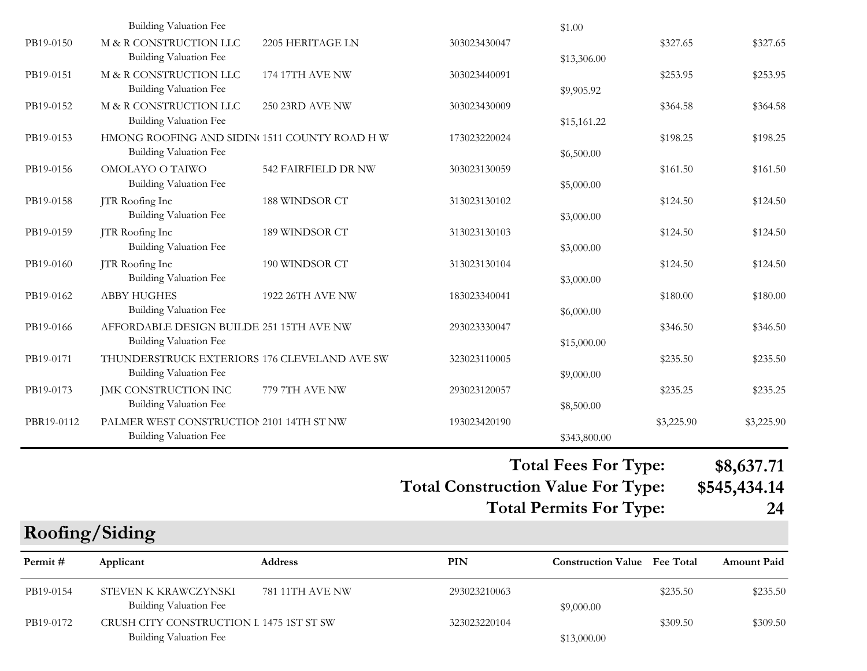| PB19-0154  | STEVEN K KRAWCZYNSKI<br>Building Valuation Fee                                    | 781 11TH AVE NW     | 293023210063                              | \$9,000.00                          | \$235.50   | \$235.50           |
|------------|-----------------------------------------------------------------------------------|---------------------|-------------------------------------------|-------------------------------------|------------|--------------------|
| Permit#    | Applicant                                                                         | Address             | PIN                                       | <b>Construction Value</b> Fee Total |            | <b>Amount Paid</b> |
|            | Roofing/Siding                                                                    |                     |                                           |                                     |            |                    |
|            |                                                                                   |                     |                                           | <b>Total Permits For Type:</b>      |            | 24                 |
|            |                                                                                   |                     | <b>Total Construction Value For Type:</b> |                                     |            | \$545,434.14       |
|            |                                                                                   |                     |                                           | <b>Total Fees For Type:</b>         |            | \$8,637.71         |
|            | Building Valuation Fee                                                            |                     |                                           | \$343,800.00                        |            |                    |
| PBR19-0112 | Building Valuation Fee<br>PALMER WEST CONSTRUCTION 2101 14TH ST NW                |                     | 193023420190                              | \$8,500.00                          | \$3,225.90 | \$3,225.90         |
| PB19-0173  | JMK CONSTRUCTION INC                                                              | 779 7TH AVE NW      | 293023120057                              |                                     | \$235.25   | \$235.25           |
| PB19-0171  | THUNDERSTRUCK EXTERIORS 176 CLEVELAND AVE SW<br><b>Building Valuation Fee</b>     |                     | 323023110005                              | \$9,000.00                          | \$235.50   | \$235.50           |
| PB19-0166  | AFFORDABLE DESIGN BUILDE 251 15TH AVE NW<br><b>Building Valuation Fee</b>         |                     | 293023330047                              | \$15,000.00                         | \$346.50   | \$346.50           |
| PB19-0162  | <b>ABBY HUGHES</b><br>Building Valuation Fee                                      | 1922 26TH AVE NW    | 183023340041                              | \$6,000.00                          | \$180.00   | \$180.00           |
|            | <b>Building Valuation Fee</b>                                                     |                     |                                           | \$3,000.00                          |            |                    |
| PB19-0160  | <b>Building Valuation Fee</b><br>JTR Roofing Inc                                  | 190 WINDSOR CT      | 313023130104                              | \$3,000.00                          | \$124.50   | \$124.50           |
| PB19-0159  | JTR Roofing Inc                                                                   | 189 WINDSOR CT      | 313023130103                              |                                     | \$124.50   | \$124.50           |
| PB19-0158  | JTR Roofing Inc<br>Building Valuation Fee                                         | 188 WINDSOR CT      | 313023130102                              | \$3,000.00                          | \$124.50   | \$124.50           |
| PB19-0156  | OMOLAYO O TAIWO<br><b>Building Valuation Fee</b>                                  | 542 FAIRFIELD DR NW | 303023130059                              | \$5,000.00                          | \$161.50   | \$161.50           |
| PB19-0153  | HMONG ROOFING AND SIDIN <sup>(1511</sup> COUNTY ROAD HW<br>Building Valuation Fee |                     | 173023220024                              | \$6,500.00                          | \$198.25   | \$198.25           |
| PB19-0152  | M & R CONSTRUCTION LLC<br>Building Valuation Fee                                  | 250 23RD AVE NW     | 303023430009                              | \$15,161.22                         | \$364.58   | \$364.58           |
| PB19-0151  | M & R CONSTRUCTION LLC<br>Building Valuation Fee                                  | 174 17TH AVE NW     | 303023440091                              | \$9,905.92                          | \$253.95   | \$253.95           |
| PB19-0150  | M & R CONSTRUCTION LLC<br><b>Building Valuation Fee</b>                           | 2205 HERITAGE LN    | 303023430047                              | \$13,306.00                         | \$327.65   | \$327.65           |
|            | <b>Building Valuation Fee</b>                                                     |                     |                                           | \$1.00                              |            |                    |

PB19-0172 CRUSH CITY CONSTRUCTION L 1475 1ST ST SW 323023220104 \$309.50 \$309.50 \$309.50 Building Valuation Fee  $$13,000.00$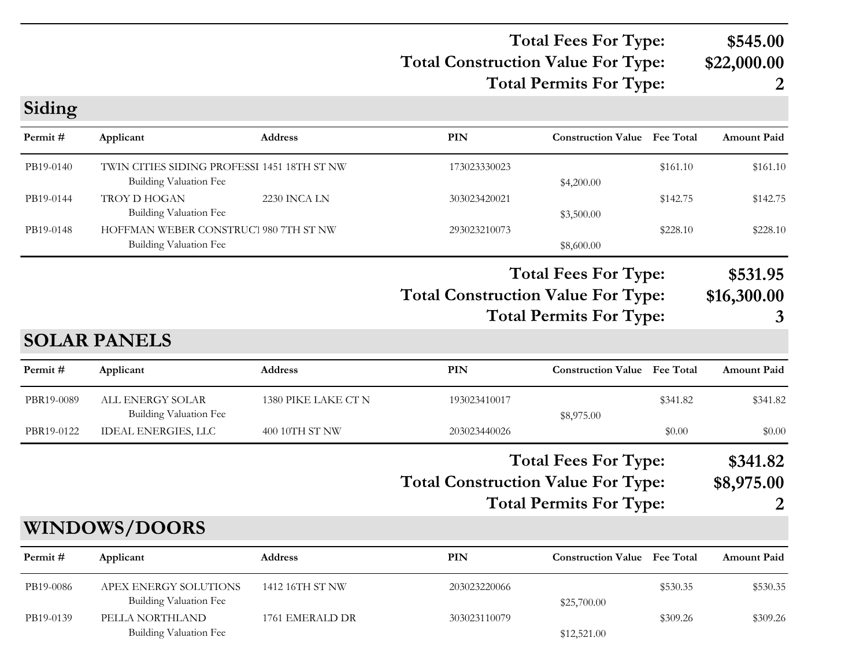#### **Total Construction Value For Type: \$22,000.00 Total Fees For Type: \$545.00 Total Permits For Type: 2**

**Siding**

| Permit#    | Applicant                                                                    | Address             | PIN                                       | <b>Construction Value</b> Fee Total                           |          | <b>Amount Paid</b>           |
|------------|------------------------------------------------------------------------------|---------------------|-------------------------------------------|---------------------------------------------------------------|----------|------------------------------|
| PB19-0140  | TWIN CITIES SIDING PROFESSI 1451 18TH ST NW<br><b>Building Valuation Fee</b> |                     | 173023330023                              | \$4,200.00                                                    | \$161.10 | \$161.10                     |
| PB19-0144  | TROY D HOGAN<br>Building Valuation Fee                                       | 2230 INCA LN        | 303023420021                              | \$3,500.00                                                    | \$142.75 | \$142.75                     |
| PB19-0148  | HOFFMAN WEBER CONSTRUCT 980 7TH ST NW<br><b>Building Valuation Fee</b>       |                     | 293023210073                              | \$8,600.00                                                    | \$228.10 | \$228.10                     |
|            |                                                                              |                     | <b>Total Construction Value For Type:</b> | <b>Total Fees For Type:</b><br><b>Total Permits For Type:</b> |          | \$531.95<br>\$16,300.00<br>3 |
|            | <b>SOLAR PANELS</b>                                                          |                     |                                           |                                                               |          |                              |
| Permit#    | Applicant                                                                    | <b>Address</b>      | PIN                                       | <b>Construction Value</b> Fee Total                           |          | <b>Amount Paid</b>           |
| PBR19-0089 | ALL ENERGY SOLAR<br>Building Valuation Fee                                   | 1380 PIKE LAKE CT N | 193023410017                              | \$8,975.00                                                    | \$341.82 | \$341.82                     |
| PBR19-0122 | <b>IDEAL ENERGIES, LLC</b>                                                   | 400 10TH ST NW      | 203023440026                              |                                                               | \$0.00   | \$0.00                       |
|            |                                                                              |                     | <b>Total Construction Value For Type:</b> | <b>Total Fees For Type:</b><br><b>Total Permits For Type:</b> |          | \$341.82<br>\$8,975.00       |
|            | <b>WINDOWS/DOORS</b>                                                         |                     |                                           |                                                               |          |                              |
| Permit#    | Applicant                                                                    | <b>Address</b>      | PIN                                       | <b>Construction Value</b> Fee Total                           |          | <b>Amount Paid</b>           |
| PB19-0086  | APEX ENERGY SOLUTIONS<br><b>Building Valuation Fee</b>                       | 1412 16TH ST NW     | 203023220066                              | \$25,700.00                                                   | \$530.35 | \$530.35                     |
| PB19-0139  | PELLA NORTHLAND                                                              | 1761 EMERALD DR     | 303023110079                              |                                                               | \$309.26 | \$309.26                     |

Building Valuation Fee  $$12,521.00$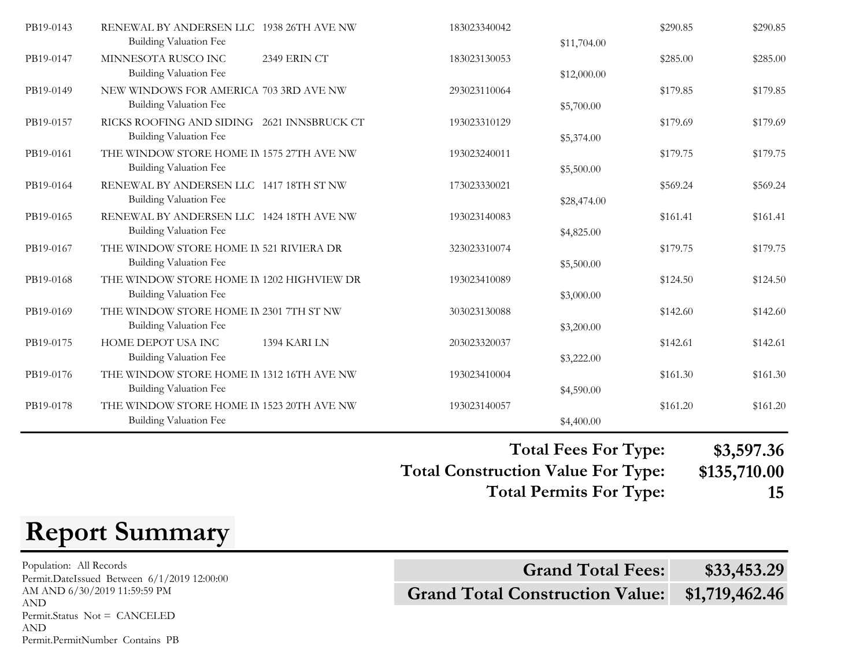| PB19-0143 | RENEWAL BY ANDERSEN LLC 1938 26TH AVE NW<br><b>Building Valuation Fee</b> |              | 183023340042 | \$11,704.00 | \$290.85 | \$290.85 |
|-----------|---------------------------------------------------------------------------|--------------|--------------|-------------|----------|----------|
| PB19-0147 | MINNESOTA RUSCO INC<br><b>Building Valuation Fee</b>                      | 2349 ERIN CT | 183023130053 | \$12,000.00 | \$285.00 | \$285.00 |
| PB19-0149 | NEW WINDOWS FOR AMERICA 703 3RD AVE NW<br><b>Building Valuation Fee</b>   |              | 293023110064 | \$5,700.00  | \$179.85 | \$179.85 |
| PB19-0157 | RICKS ROOFING AND SIDING 2621 INNSBRUCK CT<br>Building Valuation Fee      |              | 193023310129 | \$5,374.00  | \$179.69 | \$179.69 |
| PB19-0161 | THE WINDOW STORE HOME IN 1575 27TH AVE NW<br>Building Valuation Fee       |              | 193023240011 | \$5,500.00  | \$179.75 | \$179.75 |
| PB19-0164 | RENEWAL BY ANDERSEN LLC 1417 18TH ST NW<br><b>Building Valuation Fee</b>  |              | 173023330021 | \$28,474.00 | \$569.24 | \$569.24 |
| PB19-0165 | RENEWAL BY ANDERSEN LLC 1424 18TH AVE NW<br>Building Valuation Fee        |              | 193023140083 | \$4,825.00  | \$161.41 | \$161.41 |
| PB19-0167 | THE WINDOW STORE HOME IN 521 RIVIERA DR<br><b>Building Valuation Fee</b>  |              | 323023310074 | \$5,500.00  | \$179.75 | \$179.75 |
| PB19-0168 | THE WINDOW STORE HOME IN 1202 HIGHVIEW DR<br>Building Valuation Fee       |              | 193023410089 | \$3,000.00  | \$124.50 | \$124.50 |
| PB19-0169 | THE WINDOW STORE HOME IN 2301 7TH ST NW<br><b>Building Valuation Fee</b>  |              | 303023130088 | \$3,200.00  | \$142.60 | \$142.60 |
| PB19-0175 | HOME DEPOT USA INC<br>Building Valuation Fee                              | 1394 KARI LN | 203023320037 | \$3,222.00  | \$142.61 | \$142.61 |
| PB19-0176 | THE WINDOW STORE HOME IN 1312 16TH AVE NW<br>Building Valuation Fee       |              | 193023410004 | \$4,590.00  | \$161.30 | \$161.30 |
| PB19-0178 | THE WINDOW STORE HOME IN 1523 20TH AVE NW<br>Building Valuation Fee       |              | 193023140057 | \$4,400.00  | \$161.20 | \$161.20 |

**Total Construction Value For Type: \$135,710.00 Total Fees For Type: \$3,597.36 Total Permits For Type: 15**

# **Report Summary**

Population: All Records AM AND 6/30/2019 11:59:59 PM AND Permit.Status Not = CANCELED AND Permit.PermitNumber Contains PB

**Grand Total Construction Value: \$1,719,462.46** Population: All Records<br>
Permit.DateIssued Between 6/1/2019 12:00:00<br> **Grand Total Fees:** \$33,453.29